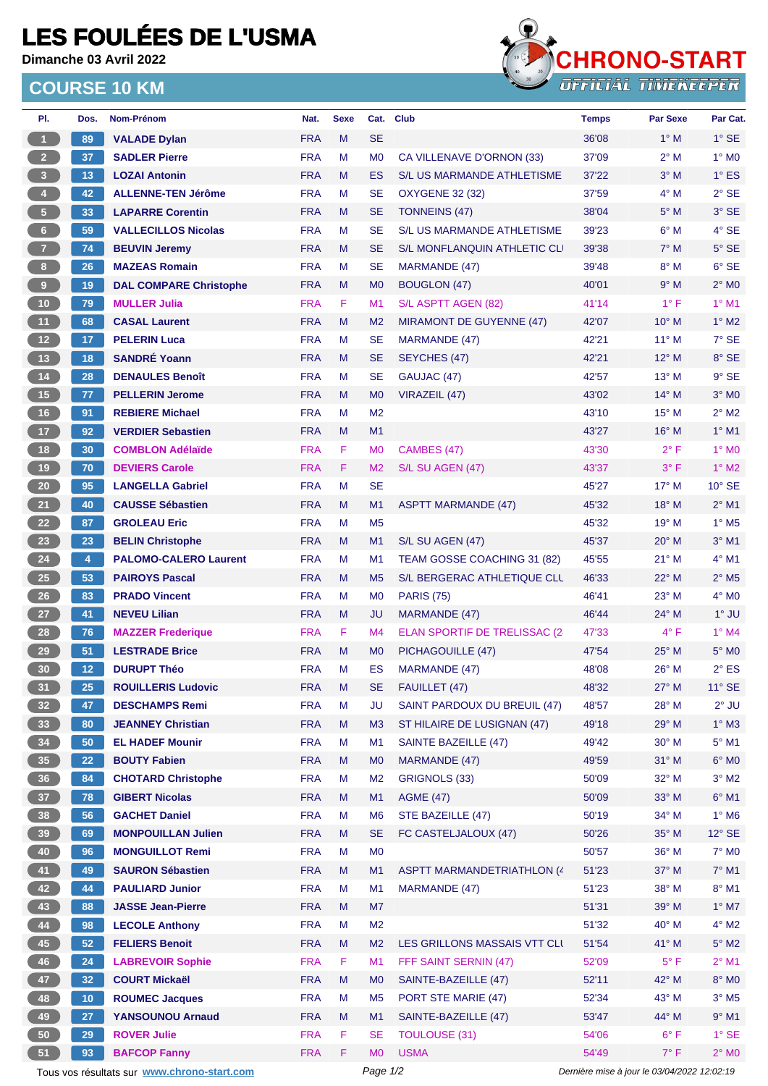## **LES FOULÉES DE L'USMA**

**Dimanche 03 Avril 2022**

## **COURSE 10 KM**



| PI.                     | Dos.                    | Nom-Prénom                                  | Nat.       | <b>Sexe</b> | Cat.           | <b>Club</b>                        | <b>Temps</b>                                | <b>Par Sexe</b> | Par Cat.                 |
|-------------------------|-------------------------|---------------------------------------------|------------|-------------|----------------|------------------------------------|---------------------------------------------|-----------------|--------------------------|
| $\mathbf{1}$            | 89                      | <b>VALADE Dylan</b>                         | <b>FRA</b> | M           | <b>SE</b>      |                                    | 36'08                                       | $1^\circ$ M     | $1^\circ$ SE             |
| 2 <sub>1</sub>          | 37                      | <b>SADLER Pierre</b>                        | <b>FRA</b> | M           | M <sub>0</sub> | CA VILLENAVE D'ORNON (33)          | 37'09                                       | $2^{\circ}$ M   | $1^\circ$ MO             |
| $\overline{\mathbf{3}}$ | 13                      | <b>LOZAI Antonin</b>                        | <b>FRA</b> | M           | ES             | S/L US MARMANDE ATHLETISME         | 37'22                                       | $3^\circ$ M     | $1^\circ$ ES             |
| $\overline{4}$          | 42                      | <b>ALLENNE-TEN Jérôme</b>                   | <b>FRA</b> | м           | SE             | <b>OXYGENE 32 (32)</b>             | 37'59                                       | $4^\circ$ M     | $2°$ SE                  |
| 5 <sub>1</sub>          | 33                      | <b>LAPARRE Corentin</b>                     | <b>FRA</b> | M           | <b>SE</b>      | <b>TONNEINS (47)</b>               | 38'04                                       | $5^\circ$ M     | $3°$ SE                  |
| $6-1$                   | 59                      | <b>VALLECILLOS Nicolas</b>                  | <b>FRA</b> | M           | <b>SE</b>      | S/L US MARMANDE ATHLETISME         | 39'23                                       | $6^\circ$ M     | $4°$ SE                  |
| 7 <sup>2</sup>          | 74                      | <b>BEUVIN Jeremy</b>                        | <b>FRA</b> | M           | <b>SE</b>      | S/L MONFLANQUIN ATHLETIC CLI       | 39'38                                       | $7^\circ$ M     | $5^\circ$ SE             |
| 8 <sub>1</sub>          | 26                      | <b>MAZEAS Romain</b>                        | <b>FRA</b> | M           | SE             | MARMANDE (47)                      | 39'48                                       | $8^\circ$ M     | $6°$ SE                  |
| $\boldsymbol{9}$        | 19                      | <b>DAL COMPARE Christophe</b>               | <b>FRA</b> | M           | M <sub>0</sub> | <b>BOUGLON (47)</b>                | 40'01                                       | 9° M            | $2^{\circ}$ MO           |
| 10 <sub>1</sub>         | 79                      | <b>MULLER Julia</b>                         | <b>FRA</b> | F           | M <sub>1</sub> | S/L ASPTT AGEN (82)                | 41'14                                       | $1^{\circ}$ F   | $1°$ M1                  |
| 11                      | 68                      | <b>CASAL Laurent</b>                        | <b>FRA</b> | M           | M <sub>2</sub> | MIRAMONT DE GUYENNE (47)           | 42'07                                       | $10^{\circ}$ M  | $1^\circ$ M2             |
| $12$                    | 17                      | <b>PELERIN Luca</b>                         | <b>FRA</b> | м           | <b>SE</b>      | MARMANDE (47)                      | 42'21                                       | $11^{\circ}$ M  | $7°$ SE                  |
| 13                      | 18                      | <b>SANDRÉ Yoann</b>                         | <b>FRA</b> | M           | <b>SE</b>      | SEYCHES (47)                       | 42'21                                       | $12^{\circ}$ M  | 8° SE                    |
| $14$                    | 28                      | <b>DENAULES Benoît</b>                      | <b>FRA</b> | M           | <b>SE</b>      | GAUJAC (47)                        | 42'57                                       | $13^{\circ}$ M  | $9°$ SE                  |
| 15                      | 77                      | <b>PELLERIN Jerome</b>                      | <b>FRA</b> | M           | M <sub>0</sub> | VIRAZEIL (47)                      | 43'02                                       | $14^{\circ}$ M  | $3°$ MO                  |
| 16                      | 91                      | <b>REBIERE Michael</b>                      | <b>FRA</b> | M           | M <sub>2</sub> |                                    | 43'10                                       | $15^{\circ}$ M  | $2^{\circ}$ M2           |
| 17 <sup>2</sup>         | 92                      | <b>VERDIER Sebastien</b>                    | <b>FRA</b> | M           | M1             |                                    | 43'27                                       | $16^{\circ}$ M  | $1°$ M1                  |
| 18                      | 30                      | <b>COMBLON Adélaïde</b>                     | <b>FRA</b> | F           | M <sub>0</sub> | CAMBES (47)                        | 43'30                                       | $2^{\circ}$ F   | $1^\circ$ MO             |
| 19                      | 70                      | <b>DEVIERS Carole</b>                       | <b>FRA</b> | F           | M <sub>2</sub> | S/L SU AGEN (47)                   | 43'37                                       | $3^{\circ}$ F   | $1^\circ$ M2             |
| $20\degree$             | 95                      | <b>LANGELLA Gabriel</b>                     | <b>FRA</b> | M           | <b>SE</b>      |                                    | 45'27                                       | $17^{\circ}$ M  | $10^{\circ}$ SE          |
| 21                      | 40                      | <b>CAUSSE Sébastien</b>                     | <b>FRA</b> | M           | M1             | <b>ASPTT MARMANDE (47)</b>         | 45'32                                       | 18° M           | $2^{\circ}$ M1           |
| 22                      | 87                      | <b>GROLEAU Eric</b>                         | <b>FRA</b> | M           | M <sub>5</sub> |                                    | 45'32                                       | $19°$ M         | $1^\circ$ M <sub>5</sub> |
| 23                      |                         |                                             | <b>FRA</b> |             |                |                                    |                                             |                 | $3°$ M1                  |
|                         | 23                      | <b>BELIN Christophe</b>                     |            | M           | M1             | S/L SU AGEN (47)                   | 45'37                                       | $20^\circ$ M    |                          |
| 24                      | $\overline{\mathbf{4}}$ | <b>PALOMO-CALERO Laurent</b>                | <b>FRA</b> | M           | M <sub>1</sub> | TEAM GOSSE COACHING 31 (82)        | 45'55                                       | $21°$ M         | $4^{\circ}$ M1           |
| $25\,$                  | 53                      | <b>PAIROYS Pascal</b>                       | <b>FRA</b> | M           | M <sub>5</sub> | S/L BERGERAC ATHLETIQUE CLL        | 46'33                                       | $22^{\circ}$ M  | $2^{\circ}$ M5           |
| 26                      | 83                      | <b>PRADO Vincent</b>                        | <b>FRA</b> | M           | M <sub>0</sub> | <b>PARIS (75)</b>                  | 46'41                                       | $23^\circ$ M    | $4^\circ$ MO             |
| 27                      | 41                      | <b>NEVEU Lilian</b>                         | <b>FRA</b> | M           | JU             | MARMANDE (47)                      | 46'44                                       | 24° M           | $1^\circ$ JU             |
| 28                      | 76                      | <b>MAZZER Frederique</b>                    | <b>FRA</b> | F           | M4             | ELAN SPORTIF DE TRELISSAC (2-      | 47'33                                       | $4^{\circ}$ F   | $1^\circ$ M4             |
| 29                      | 51                      | <b>LESTRADE Brice</b>                       | <b>FRA</b> | M           | M <sub>0</sub> | PICHAGOUILLE (47)                  | 47'54                                       | $25^{\circ}$ M  | $5^\circ$ MO             |
| 30                      | 12                      | <b>DURUPT Théo</b>                          | <b>FRA</b> | M           | ES             | MARMANDE (47)                      | 48'08                                       | $26^{\circ}$ M  | $2^{\circ}$ ES           |
| 31                      | 25                      | <b>ROUILLERIS Ludovic</b>                   | <b>FRA</b> | M           | SE             | FAUILLET (47)                      | 48'32                                       | $27^\circ$ M    | $11^\circ$ SE            |
| 32 <sub>2</sub>         | 47                      | <b>DESCHAMPS Remi</b>                       | <b>FRA</b> | M           | JU             | SAINT PARDOUX DU BREUIL (47)       | 48'57                                       | 28° M           | $2^{\circ}$ JU           |
| 33                      | 80                      | <b>JEANNEY Christian</b>                    | <b>FRA</b> | M           | M3             | ST HILAIRE DE LUSIGNAN (47)        | 49'18                                       | 29° M           | $1^\circ$ M3             |
| 34                      | 50                      | <b>EL HADEF Mounir</b>                      | <b>FRA</b> | М           | M <sub>1</sub> | <b>SAINTE BAZEILLE (47)</b>        | 49'42                                       | 30° M           | $5^\circ$ M1             |
| 35                      | 22                      | <b>BOUTY Fabien</b>                         | <b>FRA</b> | M           | M <sub>0</sub> | MARMANDE (47)                      | 49'59                                       | 31° M           | $6^\circ$ MO             |
| 36 <sup>°</sup>         | 84                      | <b>CHOTARD Christophe</b>                   | <b>FRA</b> | M           | M <sub>2</sub> | GRIGNOLS (33)                      | 50'09                                       | 32° M           | $3^\circ$ M2             |
| 37                      | 78                      | <b>GIBERT Nicolas</b>                       | <b>FRA</b> | M           | M1             | <b>AGME (47)</b>                   | 50'09                                       | 33° M           | $6^{\circ}$ M1           |
| 38                      | 56                      | <b>GACHET Daniel</b>                        | <b>FRA</b> | M           | M <sub>6</sub> | STE BAZEILLE (47)                  | 50'19                                       | 34° M           | $1^\circ$ M6             |
| 39                      | 69                      | <b>MONPOUILLAN Julien</b>                   | <b>FRA</b> | M           | <b>SE</b>      | FC CASTELJALOUX (47)               | 50'26                                       | 35° M           | $12^{\circ}$ SE          |
| 40                      | 96                      | <b>MONGUILLOT Remi</b>                      | <b>FRA</b> | M           | M <sub>0</sub> |                                    | 50'57                                       | 36° M           | $7^\circ$ MO             |
| 41                      | 49                      | <b>SAURON Sébastien</b>                     | <b>FRA</b> | M           | M1             | <b>ASPTT MARMANDETRIATHLON (4)</b> | 51'23                                       | $37^\circ$ M    | $7^\circ$ M1             |
| 42                      | 44                      | <b>PAULIARD Junior</b>                      | <b>FRA</b> | M           | M1             | <b>MARMANDE (47)</b>               | 51'23                                       | 38° M           | $8^\circ$ M1             |
| 43                      | 88                      | <b>JASSE Jean-Pierre</b>                    | <b>FRA</b> | M           | M7             |                                    | 51'31                                       | 39° M           | $1^\circ$ M7             |
| 44                      | 98                      | <b>LECOLE Anthony</b>                       | <b>FRA</b> | М           | M <sub>2</sub> |                                    | 51'32                                       | 40° M           | $4^\circ$ M2             |
| 45                      | 52                      | <b>FELIERS Benoit</b>                       | <b>FRA</b> | M           | M <sub>2</sub> | LES GRILLONS MASSAIS VTT CLI       | 51'54                                       | 41° M           | $5^\circ$ M2             |
| 46                      | 24                      | <b>LABREVOIR Sophie</b>                     | <b>FRA</b> | F           | M1             | FFF SAINT SERNIN (47)              | 52'09                                       | $5^{\circ}$ F   | $2^{\circ}$ M1           |
| 47                      | 32                      | <b>COURT Mickaël</b>                        | <b>FRA</b> | M           | M <sub>0</sub> | SAINTE-BAZEILLE (47)               | 52'11                                       | 42° M           | 8° MO                    |
| 48                      | 10 <sub>1</sub>         | <b>ROUMEC Jacques</b>                       | <b>FRA</b> | М           | M <sub>5</sub> | PORT STE MARIE (47)                | 52'34                                       | 43° M           | $3^\circ$ M5             |
| 49                      | 27                      | <b>YANSOUNOU Arnaud</b>                     | <b>FRA</b> | M           | M1             | SAINTE-BAZEILLE (47)               | 53'47                                       | 44° M           | $9°$ M1                  |
| 50                      | 29                      | <b>ROVER Julie</b>                          | <b>FRA</b> | F           | <b>SE</b>      | <b>TOULOUSE (31)</b>               | 54'06                                       | $6^{\circ}$ F   | $1^\circ$ SE             |
| 51                      | 93                      | <b>BAFCOP Fanny</b>                         | <b>FRA</b> | F           | MO             | <b>USMA</b>                        | 54'49                                       | $7^\circ$ F     | $2^{\circ}$ MO           |
|                         |                         | Tous vos résultats sur www.chrono-start.com |            |             | Page 1/2       |                                    | Dernière mise à jour le 03/04/2022 12:02:19 |                 |                          |